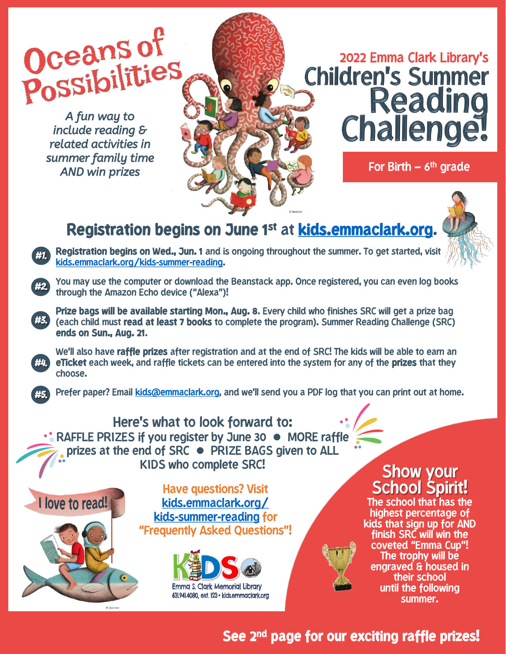Oceans of<br>Possibilities

*A fun way to include reading & related activities in summer family time AND win prizes*

#1.

#2.

#3.

#4.



# 2022 Emma Clark Library's<br>Children's Summer<br>Reading Challenge

For Birth – 6<sup>th</sup> grade

## **Registration begins on June 1st** at **kids.emmaclark.org**.



**Registration begins on Wed., Jun. 1** and is ongoing throughout the summer. To get started, visit kids.emmaclark.org/kids-summer-reading.

You may use the computer or download the Beanstack app. Once registered, you can even log books through the Amazon Echo device ("Alexa")!

**Prize bags will be available starting Mon., Aug. 8**. Every child who finishes SRC will get a prize bag (each child must **read at least 7 books** to complete the program). Summer Reading Challenge (SRC) **ends on Sun., Aug. 21**.

We'll also have **raffle prizes** after registration and at the end of SRC! The kids will be able to earn an **eTicket** each week, and raffle tickets can be entered into the system for any of the **prizes** that they choose.

Prefer paper? Email [kids@emmaclark.org](mailto:kids@emmaclark.org), and we'll send you a PDF log that you can print out at home. #5.

### Here's what to look forward to: •• RAFFLE PRIZES if you register by June 30 • MORE raffle prizes at the end of SRC ⚫ PRIZE BAGS given to ALL KIDS who complete SRC! Show your



Have questions? Visit kids.emmaclark.org/ kids-summer-reading for "Frequently Asked Questions"!



School Spirit!

The school that has the highest percentage of kids that sign up for AND finish SRC will win the coveted "Emma Cup"! The trophy will be engraved & housed in their school until the following summer.

## **See 2nd page for our exciting raffle prizes!**